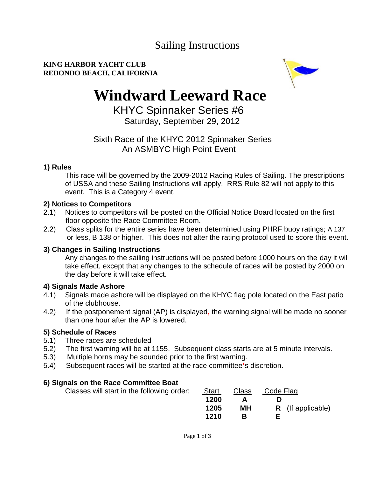# Sailing Instructions

#### **KING HARBOR YACHT CLUB REDONDO BEACH, CALIFORNIA**



# **Windward Leeward Race**

 KHYC Spinnaker Series #6 Saturday, September 29, 2012

# Sixth Race of the KHYC 2012 Spinnaker Series An ASMBYC High Point Event

#### **1) Rules**

This race will be governed by the 2009-2012 Racing Rules of Sailing. The prescriptions of USSA and these Sailing Instructions will apply. RRS Rule 82 will not apply to this event. This is a Category 4 event.

#### **2) Notices to Competitors**

- 2.1) Notices to competitors will be posted on the Official Notice Board located on the first floor opposite the Race Committee Room.
- 2.2) Class splits for the entire series have been determined using PHRF buoy ratings; A 137 or less, B 138 or higher. This does not alter the rating protocol used to score this event.

### **3) Changes in Sailing Instructions**

Any changes to the sailing instructions will be posted before 1000 hours on the day it will take effect, except that any changes to the schedule of races will be posted by 2000 on the day before it will take effect.

### **4) Signals Made Ashore**

- 4.1) Signals made ashore will be displayed on the KHYC flag pole located on the East patio of the clubhouse.
- 4.2) If the postponement signal (AP) is displayed**,** the warning signal will be made no sooner than one hour after the AP is lowered.

### **5) Schedule of Races**

- 5.1) Three races are scheduled
- 5.2) The first warning will be at 1155. Subsequent class starts are at 5 minute intervals.
- 5.3) Multiple horns may be sounded prior to the first warning.
- 5.4) Subsequent races will be started at the race committee**'**s discretion.

### **6) Signals on the Race Committee Boat**

| Classes will start in the following order: | <b>Start</b> | Class     | Code Flag                |
|--------------------------------------------|--------------|-----------|--------------------------|
|                                            | 1200         |           |                          |
|                                            | 1205         | <b>MH</b> | <b>R</b> (If applicable) |
|                                            | 1210         |           | F                        |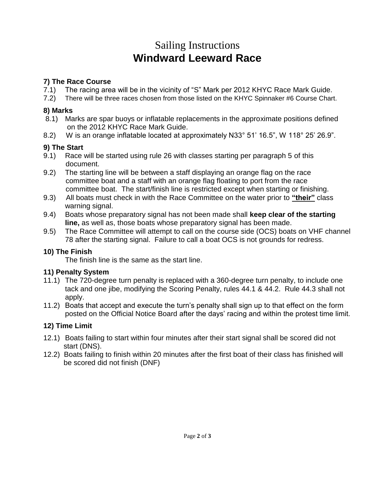# Sailing Instructions **Windward Leeward Race**

### **7) The Race Course**

- 7.1) The racing area will be in the vicinity of "S" Mark per 2012 KHYC Race Mark Guide.
- 7.2) There will be three races chosen from those listed on the KHYC Spinnaker #6 Course Chart.

#### **8) Marks**

- 8.1) Marks are spar buoys or inflatable replacements in the approximate positions defined on the 2012 KHYC Race Mark Guide.
- 8.2) W is an orange inflatable located at approximately N33° 51' 16.5", W 118° 25' 26.9".

## **9) The Start**

- 9.1) Race will be started using rule 26 with classes starting per paragraph 5 of this document.
- 9.2) The starting line will be between a staff displaying an orange flag on the race committee boat and a staff with an orange flag floating to port from the race committee boat. The start/finish line is restricted except when starting or finishing.
- 9.3) All boats must check in with the Race Committee on the water prior to **"their"** class warning signal.
- 9.4) Boats whose preparatory signal has not been made shall **keep clear of the starting line,** as well as, those boats whose preparatory signal has been made.
- 9.5) The Race Committee will attempt to call on the course side (OCS) boats on VHF channel 78 after the starting signal. Failure to call a boat OCS is not grounds for redress.

### **10) The Finish**

The finish line is the same as the start line.

### **11) Penalty System**

- 11.1) The 720-degree turn penalty is replaced with a 360-degree turn penalty, to include one tack and one jibe, modifying the Scoring Penalty, rules 44.1 & 44.2. Rule 44.3 shall not apply.
- 11.2) Boats that accept and execute the turn's penalty shall sign up to that effect on the form posted on the Official Notice Board after the days' racing and within the protest time limit.

# **12) Time Limit**

- 12.1) Boats failing to start within four minutes after their start signal shall be scored did not start (DNS).
- 12.2) Boats failing to finish within 20 minutes after the first boat of their class has finished will be scored did not finish (DNF)